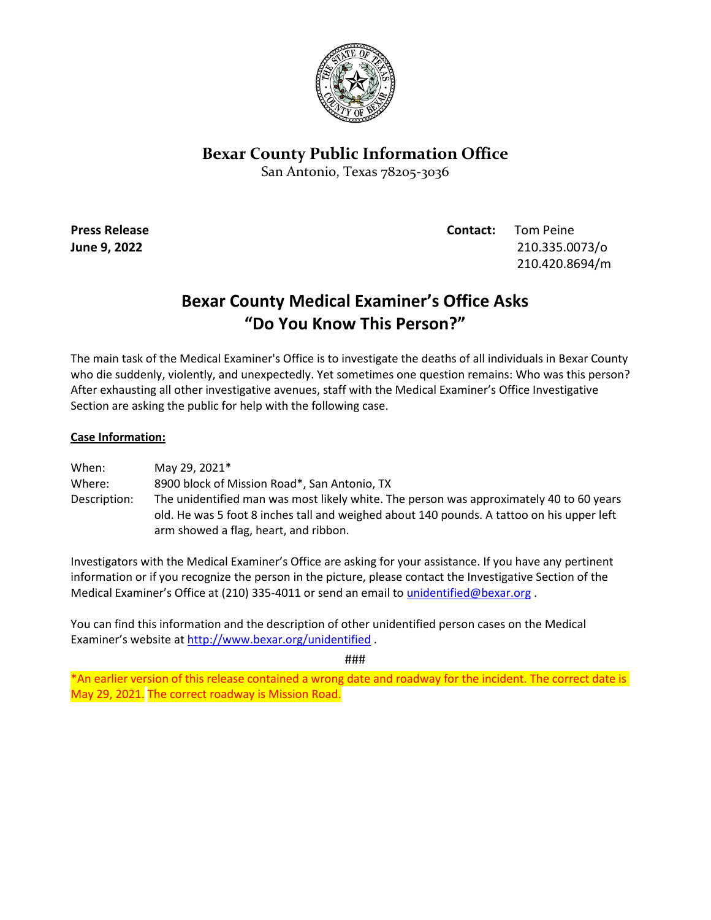

### **Bexar County Public Information Office**

San Antonio, Texas 78205-3036

**Press Release Contact:** Tom Peine **June 9, 2022** 210.335.0073/o 210.420.8694/m

### **Bexar County Medical Examiner's Office Asks "Do You Know This Person?"**

The main task of the Medical Examiner's Office is to investigate the deaths of all individuals in Bexar County who die suddenly, violently, and unexpectedly. Yet sometimes one question remains: Who was this person? After exhausting all other investigative avenues, staff with the Medical Examiner's Office Investigative Section are asking the public for help with the following case.

#### **Case Information:**

When: May 29, 2021\* Where: 8900 block of Mission Road\*, San Antonio, TX Description: The unidentified man was most likely white. The person was approximately 40 to 60 years old. He was 5 foot 8 inches tall and weighed about 140 pounds. A tattoo on his upper left arm showed a flag, heart, and ribbon.

Investigators with the Medical Examiner's Office are asking for your assistance. If you have any pertinent information or if you recognize the person in the picture, please contact the Investigative Section of the Medical Examiner's Office at (210) 335-4011 or send an email to [unidentified@bexar.org .](mailto:unidentified@bexar.org)

You can find this information and the description of other unidentified person cases on the Medical Examiner's website at<http://www.bexar.org/unidentified> .

###

\*An earlier version of this release contained a wrong date and roadway for the incident. The correct date is May 29, 2021. The correct roadway is Mission Road.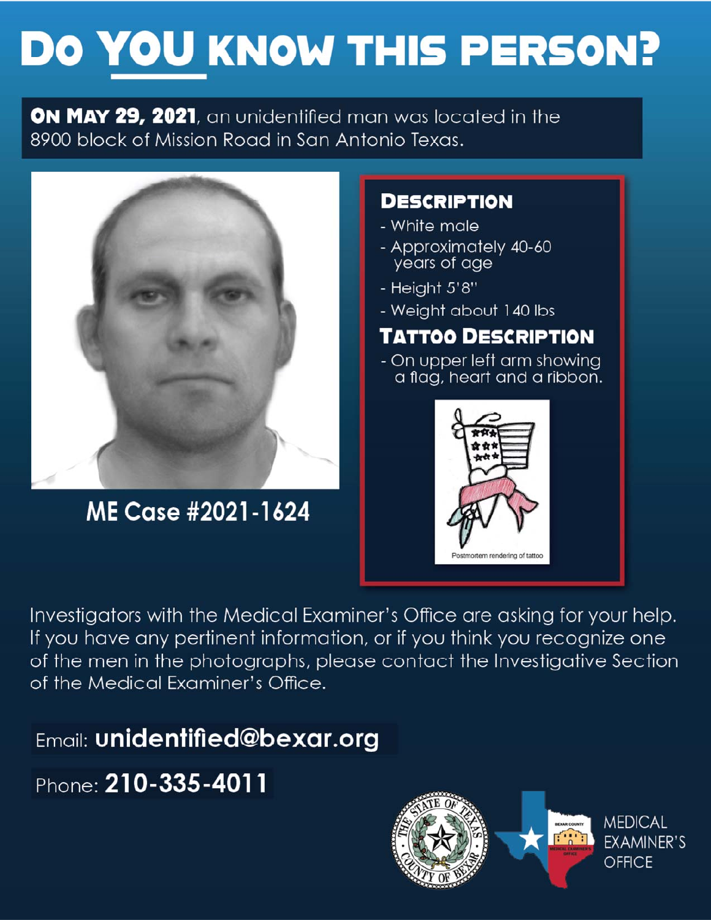# DO YOU KNOW THIS PERSON?

**ON MAY 29, 2021**, an unidentified man was located in the 8900 block of Mission Road in San Antonio Texas.



ME Case #2021-1624

## **DESCRIPTION**

- White male
- Approximately 40-60 years of age
- Height 5'8"
- Weight about 140 lbs

# **TATTOO DESCRIPTION**

- On upper left arm showing<br>a flag, heart and a ribbon.



Investigators with the Medical Examiner's Office are asking for your help. If you have any pertinent information, or if you think you recognize one of the men in the photographs, please contact the Investigative Section of the Medical Examiner's Office.

**Email: unidentified@bexar.org** 

Phone: 210-335-4011